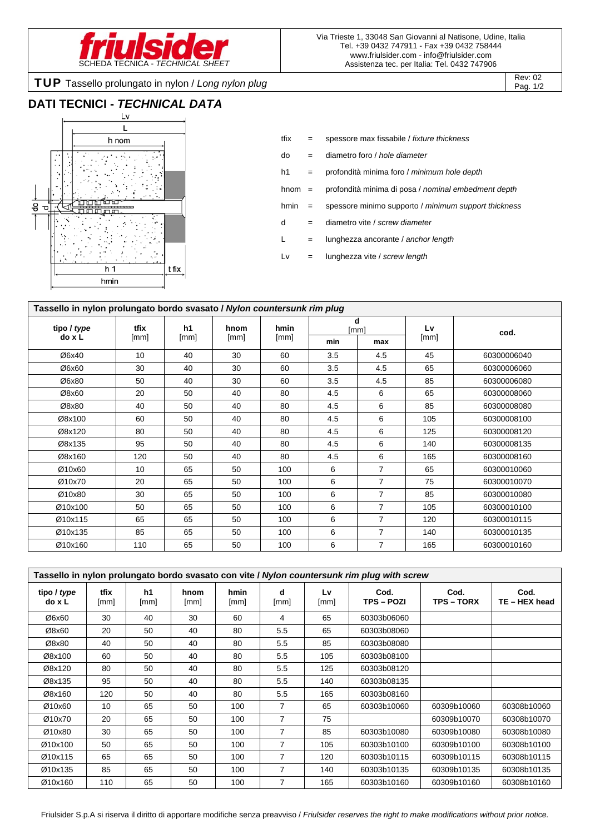

Pag. 1/2

TUP Tassello prolungato in nylon / *Long nylon plug* Rev: 02 Rev: 02

### **DATI TECNICI -** *TECHNICAL DATA*



tfix = spessore max fissabile / *fixture thickness* do = diametro foro / *hole diameter* h1 = profondità minima foro / *minimum hole depth* hnom = profondità minima di posa / *nominal embedment depth* hmin = spessore minimo supporto / *minimum support thickness* d = diametro vite / *screw diameter* L = lunghezza ancorante / *anchor length* Lv = lunghezza vite / *screw length*

| Tassello in nylon prolungato bordo svasato / Nylon countersunk rim plug |              |            |              |              |           |                |      |             |  |
|-------------------------------------------------------------------------|--------------|------------|--------------|--------------|-----------|----------------|------|-------------|--|
| tipo / type                                                             | tfix<br>[mm] | h1<br>[mm] | hnom<br>[mm] | hmin<br>[mm] | d<br>[mm] |                | Lv   | cod.        |  |
| do x L                                                                  |              |            |              |              | min       | max            | [mm] |             |  |
| Ø6x40                                                                   | 10           | 40         | 30           | 60           | 3.5       | 4.5            | 45   | 60300006040 |  |
| Ø6x60                                                                   | 30           | 40         | 30           | 60           | 3.5       | 4.5            | 65   | 60300006060 |  |
| Ø6x80                                                                   | 50           | 40         | 30           | 60           | 3.5       | 4.5            | 85   | 60300006080 |  |
| Ø8x60                                                                   | 20           | 50         | 40           | 80           | 4.5       | 6              | 65   | 60300008060 |  |
| Ø8x80                                                                   | 40           | 50         | 40           | 80           | 4.5       | 6              | 85   | 60300008080 |  |
| Ø8x100                                                                  | 60           | 50         | 40           | 80           | 4.5       | 6              | 105  | 60300008100 |  |
| Ø8x120                                                                  | 80           | 50         | 40           | 80           | 4.5       | 6              | 125  | 60300008120 |  |
| Ø8x135                                                                  | 95           | 50         | 40           | 80           | 4.5       | 6              | 140  | 60300008135 |  |
| Ø8x160                                                                  | 120          | 50         | 40           | 80           | 4.5       | 6              | 165  | 60300008160 |  |
| Ø10x60                                                                  | 10           | 65         | 50           | 100          | 6         | 7              | 65   | 60300010060 |  |
| Ø10x70                                                                  | 20           | 65         | 50           | 100          | 6         | $\overline{7}$ | 75   | 60300010070 |  |
| Ø10x80                                                                  | 30           | 65         | 50           | 100          | 6         | 7              | 85   | 60300010080 |  |
| Ø10x100                                                                 | 50           | 65         | 50           | 100          | 6         | 7              | 105  | 60300010100 |  |
| Ø10x115                                                                 | 65           | 65         | 50           | 100          | 6         | 7              | 120  | 60300010115 |  |
| Ø10x135                                                                 | 85           | 65         | 50           | 100          | 6         | $\overline{7}$ | 140  | 60300010135 |  |
| Ø10x160                                                                 | 110          | 65         | 50           | 100          | 6         | $\overline{7}$ | 165  | 60300010160 |  |

| Tassello in nylon prolungato bordo svasato con vite / Nylon countersunk rim plug with screw |              |            |              |              |                |            |                           |                         |                       |  |
|---------------------------------------------------------------------------------------------|--------------|------------|--------------|--------------|----------------|------------|---------------------------|-------------------------|-----------------------|--|
| tipo / type<br>do x L                                                                       | tfix<br>[mm] | h1<br>[mm] | hnom<br>[mm] | hmin<br>[mm] | d<br>[mm]      | Lv<br>[mm] | Cod.<br><b>TPS – POZI</b> | Cod.<br><b>TPS-TORX</b> | Cod.<br>TE - HEX head |  |
| Ø6x60                                                                                       | 30           | 40         | 30           | 60           | 4              | 65         | 60303b06060               |                         |                       |  |
| Ø8x60                                                                                       | 20           | 50         | 40           | 80           | 5.5            | 65         | 60303b08060               |                         |                       |  |
| Ø8x80                                                                                       | 40           | 50         | 40           | 80           | 5.5            | 85         | 60303b08080               |                         |                       |  |
| Ø8x100                                                                                      | 60           | 50         | 40           | 80           | 5.5            | 105        | 60303b08100               |                         |                       |  |
| Ø8x120                                                                                      | 80           | 50         | 40           | 80           | 5.5            | 125        | 60303b08120               |                         |                       |  |
| Ø8x135                                                                                      | 95           | 50         | 40           | 80           | 5.5            | 140        | 60303b08135               |                         |                       |  |
| Ø8x160                                                                                      | 120          | 50         | 40           | 80           | 5.5            | 165        | 60303b08160               |                         |                       |  |
| Ø10x60                                                                                      | 10           | 65         | 50           | 100          | 7              | 65         | 60303b10060               | 60309b10060             | 60308b10060           |  |
| Ø10x70                                                                                      | 20           | 65         | 50           | 100          | $\overline{7}$ | 75         |                           | 60309b10070             | 60308b10070           |  |
| Ø10x80                                                                                      | 30           | 65         | 50           | 100          | 7              | 85         | 60303b10080               | 60309b10080             | 60308b10080           |  |
| Ø10x100                                                                                     | 50           | 65         | 50           | 100          | 7              | 105        | 60303b10100               | 60309b10100             | 60308b10100           |  |
| Ø10x115                                                                                     | 65           | 65         | 50           | 100          | $\overline{7}$ | 120        | 60303b10115               | 60309b10115             | 60308b10115           |  |
| Ø10x135                                                                                     | 85           | 65         | 50           | 100          | 7              | 140        | 60303b10135               | 60309b10135             | 60308b10135           |  |
| Ø10x160                                                                                     | 110          | 65         | 50           | 100          | 7              | 165        | 60303b10160               | 60309b10160             | 60308b10160           |  |